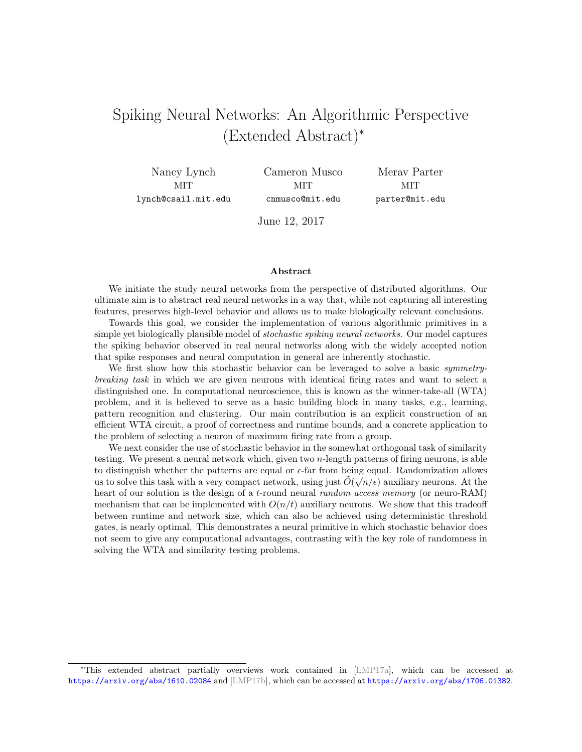# Spiking Neural Networks: An Algorithmic Perspective (Extended Abstract)<sup>∗</sup>

Nancy Lynch MIT lynch@csail.mit.edu Cameron Musco **MIT** cnmusco@mit.edu

Merav Parter **MIT** parter@mit.edu

June 12, 2017

#### Abstract

We initiate the study neural networks from the perspective of distributed algorithms. Our ultimate aim is to abstract real neural networks in a way that, while not capturing all interesting features, preserves high-level behavior and allows us to make biologically relevant conclusions.

Towards this goal, we consider the implementation of various algorithmic primitives in a simple yet biologically plausible model of stochastic spiking neural networks. Our model captures the spiking behavior observed in real neural networks along with the widely accepted notion that spike responses and neural computation in general are inherently stochastic.

We first show how this stochastic behavior can be leveraged to solve a basic *symmetry*breaking task in which we are given neurons with identical firing rates and want to select a distinguished one. In computational neuroscience, this is known as the winner-take-all (WTA) problem, and it is believed to serve as a basic building block in many tasks, e.g., learning, pattern recognition and clustering. Our main contribution is an explicit construction of an efficient WTA circuit, a proof of correctness and runtime bounds, and a concrete application to the problem of selecting a neuron of maximum firing rate from a group.

We next consider the use of stochastic behavior in the somewhat orthogonal task of similarity testing. We present a neural network which, given two n-length patterns of firing neurons, is able to distinguish whether the patterns are equal or  $\epsilon$ -far from being equal. Randomization allows us to solve this task with a very compact network, using just  $\tilde{O}(\sqrt{n}/\epsilon)$  auxiliary neurons. At the heart of our solution is the design of a t-round neural *random access memory* (or neuro-RAM) mechanism that can be implemented with  $O(n/t)$  auxiliary neurons. We show that this tradeoff between runtime and network size, which can also be achieved using deterministic threshold gates, is nearly optimal. This demonstrates a neural primitive in which stochastic behavior does not seem to give any computational advantages, contrasting with the key role of randomness in solving the WTA and similarity testing problems.

<sup>∗</sup>This extended abstract partially overviews work contained in [\[LMP17a\]](#page-6-0), which can be accessed at <https://arxiv.org/abs/1610.02084> and [\[LMP17b\]](#page-6-1), which can be accessed at <https://arxiv.org/abs/1706.01382>.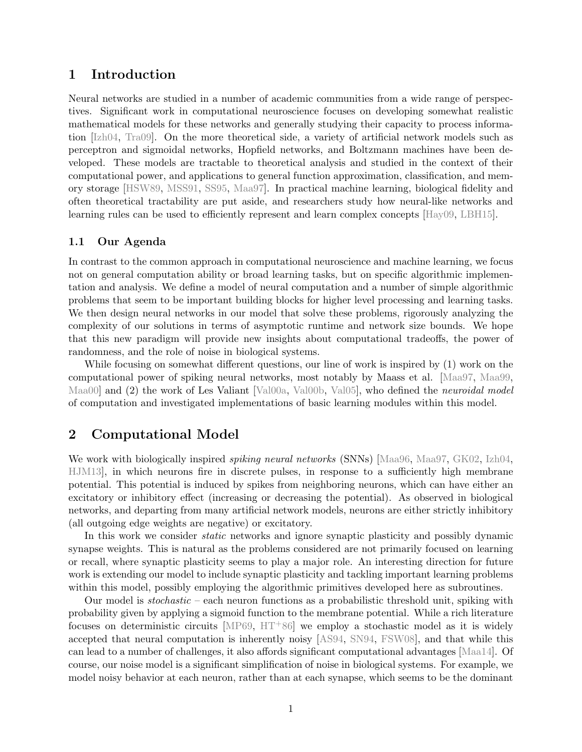## 1 Introduction

Neural networks are studied in a number of academic communities from a wide range of perspectives. Significant work in computational neuroscience focuses on developing somewhat realistic mathematical models for these networks and generally studying their capacity to process information [\[Izh04,](#page-6-2) [Tra09\]](#page-6-3). On the more theoretical side, a variety of artificial network models such as perceptron and sigmoidal networks, Hopfield networks, and Boltzmann machines have been developed. These models are tractable to theoretical analysis and studied in the context of their computational power, and applications to general function approximation, classification, and memory storage [\[HSW89,](#page-5-0) [MSS91,](#page-6-4) [SS95,](#page-6-5) [Maa97\]](#page-6-6). In practical machine learning, biological fidelity and often theoretical tractability are put aside, and researchers study how neural-like networks and learning rules can be used to efficiently represent and learn complex concepts [\[Hay09,](#page-5-1) [LBH15\]](#page-6-7).

### 1.1 Our Agenda

In contrast to the common approach in computational neuroscience and machine learning, we focus not on general computation ability or broad learning tasks, but on specific algorithmic implementation and analysis. We define a model of neural computation and a number of simple algorithmic problems that seem to be important building blocks for higher level processing and learning tasks. We then design neural networks in our model that solve these problems, rigorously analyzing the complexity of our solutions in terms of asymptotic runtime and network size bounds. We hope that this new paradigm will provide new insights about computational tradeoffs, the power of randomness, and the role of noise in biological systems.

While focusing on somewhat different questions, our line of work is inspired by (1) work on the computational power of spiking neural networks, most notably by Maass et al. [\[Maa97,](#page-6-6) [Maa99,](#page-6-8) Maa00 and (2) the work of Les Valiant [\[Val00a,](#page-6-10) [Val00b,](#page-6-11) [Val05\]](#page-6-12), who defined the *neuroidal model* of computation and investigated implementations of basic learning modules within this model.

## 2 Computational Model

We work with biologically inspired *spiking neural networks* (SNNs) [\[Maa96,](#page-6-13) [Maa97,](#page-6-6) [GK02,](#page-5-2) [Izh04,](#page-6-2) [HJM13\]](#page-5-3), in which neurons fire in discrete pulses, in response to a sufficiently high membrane potential. This potential is induced by spikes from neighboring neurons, which can have either an excitatory or inhibitory effect (increasing or decreasing the potential). As observed in biological networks, and departing from many artificial network models, neurons are either strictly inhibitory (all outgoing edge weights are negative) or excitatory.

In this work we consider static networks and ignore synaptic plasticity and possibly dynamic synapse weights. This is natural as the problems considered are not primarily focused on learning or recall, where synaptic plasticity seems to play a major role. An interesting direction for future work is extending our model to include synaptic plasticity and tackling important learning problems within this model, possibly employing the algorithmic primitives developed here as subroutines.

Our model is stochastic – each neuron functions as a probabilistic threshold unit, spiking with probability given by applying a sigmoid function to the membrane potential. While a rich literature focuses on deterministic circuits [\[MP69,](#page-6-14) [HT](#page-6-15)<sup>+86]</sup> we employ a stochastic model as it is widely accepted that neural computation is inherently noisy [\[AS94,](#page-5-4) [SN94,](#page-6-16) [FSW08\]](#page-5-5), and that while this can lead to a number of challenges, it also affords significant computational advantages [\[Maa14\]](#page-6-17). Of course, our noise model is a significant simplification of noise in biological systems. For example, we model noisy behavior at each neuron, rather than at each synapse, which seems to be the dominant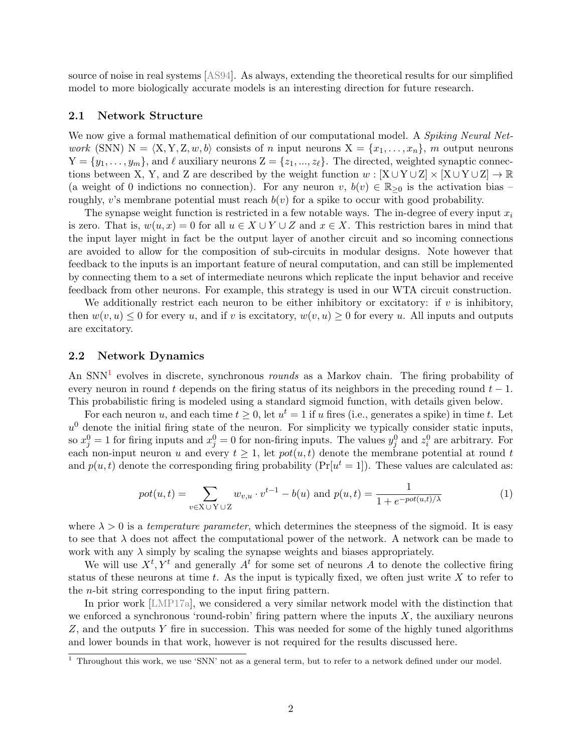source of noise in real systems [\[AS94\]](#page-5-4). As always, extending the theoretical results for our simplified model to more biologically accurate models is an interesting direction for future research.

#### 2.1 Network Structure

We now give a formal mathematical definition of our computational model. A Spiking Neural Network (SNN)  $N = \langle X, Y, Z, w, b \rangle$  consists of n input neurons  $X = \{x_1, \ldots, x_n\}, m$  output neurons  $Y = \{y_1, \ldots, y_m\}$ , and  $\ell$  auxiliary neurons  $Z = \{z_1, \ldots, z_\ell\}$ . The directed, weighted synaptic connections between X, Y, and Z are described by the weight function  $w : [X \cup Y \cup Z] \times [X \cup Y \cup Z] \rightarrow \mathbb{R}$ (a weight of 0 indictions no connection). For any neuron  $v, b(v) \in \mathbb{R}_{\geq 0}$  is the activation bias – roughly, v's membrane potential must reach  $b(v)$  for a spike to occur with good probability.

The synapse weight function is restricted in a few notable ways. The in-degree of every input  $x_i$ is zero. That is,  $w(u, x) = 0$  for all  $u \in X \cup Y \cup Z$  and  $x \in X$ . This restriction bares in mind that the input layer might in fact be the output layer of another circuit and so incoming connections are avoided to allow for the composition of sub-circuits in modular designs. Note however that feedback to the inputs is an important feature of neural computation, and can still be implemented by connecting them to a set of intermediate neurons which replicate the input behavior and receive feedback from other neurons. For example, this strategy is used in our WTA circuit construction.

We additionally restrict each neuron to be either inhibitory or excitatory: if  $v$  is inhibitory, then  $w(v, u) \leq 0$  for every u, and if v is excitatory,  $w(v, u) \geq 0$  for every u. All inputs and outputs are excitatory.

#### 2.2 Network Dynamics

An  $SNN<sup>1</sup>$  $SNN<sup>1</sup>$  $SNN<sup>1</sup>$  evolves in discrete, synchronous *rounds* as a Markov chain. The firing probability of every neuron in round t depends on the firing status of its neighbors in the preceding round  $t-1$ . This probabilistic firing is modeled using a standard sigmoid function, with details given below.

For each neuron u, and each time  $t \geq 0$ , let  $u^t = 1$  if u fires (i.e., generates a spike) in time t. Let  $u<sup>0</sup>$  denote the initial firing state of the neuron. For simplicity we typically consider static inputs, so  $x_j^0 = 1$  for firing inputs and  $x_j^0 = 0$  for non-firing inputs. The values  $y_j^0$  and  $z_i^0$  are arbitrary. For each non-input neuron u and every  $t \geq 1$ , let  $pot(u, t)$  denote the membrane potential at round t and  $p(u, t)$  denote the corresponding firing probability ( $Pr[u^t = 1]$ ). These values are calculated as:

<span id="page-2-1"></span>
$$
pot(u,t) = \sum_{v \in X \cup Y \cup Z} w_{v,u} \cdot v^{t-1} - b(u) \text{ and } p(u,t) = \frac{1}{1 + e^{-pot(u,t)/\lambda}}
$$
 (1)

where  $\lambda > 0$  is a temperature parameter, which determines the steepness of the sigmoid. It is easy to see that  $\lambda$  does not affect the computational power of the network. A network can be made to work with any  $\lambda$  simply by scaling the synapse weights and biases appropriately.

We will use  $X^t, Y^t$  and generally  $A^t$  for some set of neurons A to denote the collective firing status of these neurons at time  $t$ . As the input is typically fixed, we often just write  $X$  to refer to the n-bit string corresponding to the input firing pattern.

In prior work [\[LMP17a\]](#page-6-0), we considered a very similar network model with the distinction that we enforced a synchronous 'round-robin' firing pattern where the inputs  $X$ , the auxiliary neurons Z, and the outputs Y fire in succession. This was needed for some of the highly tuned algorithms and lower bounds in that work, however is not required for the results discussed here.

<span id="page-2-0"></span><sup>&</sup>lt;sup>1</sup> Throughout this work, we use 'SNN' not as a general term, but to refer to a network defined under our model.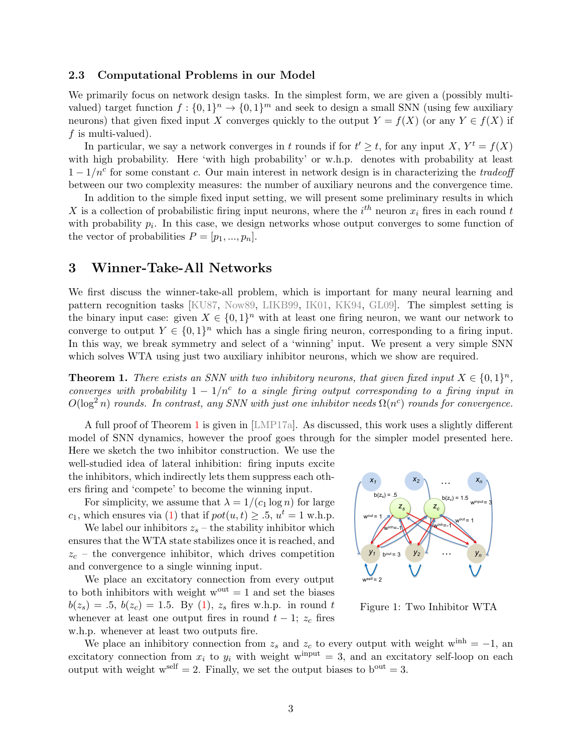#### 2.3 Computational Problems in our Model

We primarily focus on network design tasks. In the simplest form, we are given a (possibly multivalued) target function  $f: \{0,1\}^n \to \{0,1\}^m$  and seek to design a small SNN (using few auxiliary neurons) that given fixed input X converges quickly to the output  $Y = f(X)$  (or any  $Y \in f(X)$  if f is multi-valued).

In particular, we say a network converges in t rounds if for  $t' \geq t$ , for any input X,  $Y^t = f(X)$ with high probability. Here 'with high probability' or w.h.p. denotes with probability at least  $1 - 1/n^c$  for some constant c. Our main interest in network design is in characterizing the tradeoff between our two complexity measures: the number of auxiliary neurons and the convergence time.

In addition to the simple fixed input setting, we will present some preliminary results in which X is a collection of probabilistic firing input neurons, where the  $i^{th}$  neuron  $x_i$  fires in each round t with probability  $p_i$ . In this case, we design networks whose output converges to some function of the vector of probabilities  $P = [p_1, ..., p_n].$ 

## 3 Winner-Take-All Networks

We first discuss the winner-take-all problem, which is important for many neural learning and pattern recognition tasks [\[KU87,](#page-6-18) [Now89,](#page-6-19) [LIKB99,](#page-6-20) [IK01,](#page-6-21) [KK94,](#page-6-22) [GL09\]](#page-5-6). The simplest setting is the binary input case: given  $X \in \{0,1\}^n$  with at least one firing neuron, we want our network to converge to output  $Y \in \{0,1\}^n$  which has a single firing neuron, corresponding to a firing input. In this way, we break symmetry and select of a 'winning' input. We present a very simple SNN which solves WTA using just two auxiliary inhibitor neurons, which we show are required.

<span id="page-3-0"></span>**Theorem 1.** There exists an SNN with two inhibitory neurons, that given fixed input  $X \in \{0,1\}^n$ , converges with probability  $1 - 1/n^c$  to a single firing output corresponding to a firing input in  $O(\log^2 n)$  rounds. In contrast, any SNN with just one inhibitor needs  $\Omega(n^c)$  rounds for convergence.

A full proof of Theorem [1](#page-3-0) is given in [\[LMP17a\]](#page-6-0). As discussed, this work uses a slightly different model of SNN dynamics, however the proof goes through for the simpler model presented here.

Here we sketch the two inhibitor construction. We use the well-studied idea of lateral inhibition: firing inputs excite the inhibitors, which indirectly lets them suppress each others firing and 'compete' to become the winning input.

For simplicity, we assume that  $\lambda = 1/(c_1 \log n)$  for large  $c_1$ , which ensures via [\(1\)](#page-2-1) that if  $pot(u, t) \geq .5, u^t = 1$  w.h.p.

We label our inhibitors  $z_s$  – the stability inhibitor which ensures that the WTA state stabilizes once it is reached, and  $z_c$  – the convergence inhibitor, which drives competition and convergence to a single winning input.

We place an excitatory connection from every output to both inhibitors with weight  $w^{out} = 1$  and set the biases  $b(z_s) = .5, b(z_c) = 1.5$ . By [\(1\)](#page-2-1),  $z_s$  fires w.h.p. in round t whenever at least one output fires in round  $t - 1$ ;  $z_c$  fires w.h.p. whenever at least two outputs fire.



Figure 1: Two Inhibitor WTA

We place an inhibitory connection from  $z_s$  and  $z_c$  to every output with weight w<sup>inh</sup> = −1, an excitatory connection from  $x_i$  to  $y_i$  with weight w<sup>input</sup> = 3, and an excitatory self-loop on each output with weight  $w^{\text{self}} = 2$ . Finally, we set the output biases to  $b^{\text{out}} = 3$ .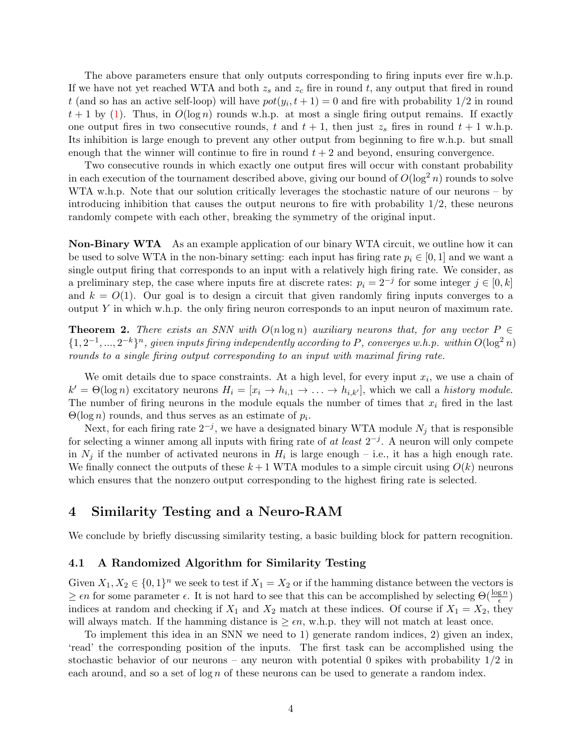The above parameters ensure that only outputs corresponding to firing inputs ever fire w.h.p. If we have not yet reached WTA and both  $z_s$  and  $z_c$  fire in round t, any output that fired in round t (and so has an active self-loop) will have  $pot(y_i, t+1) = 0$  and fire with probability  $1/2$  in round  $t + 1$  by [\(1\)](#page-2-1). Thus, in  $O(\log n)$  rounds w.h.p. at most a single firing output remains. If exactly one output fires in two consecutive rounds, t and  $t + 1$ , then just  $z_s$  fires in round  $t + 1$  w.h.p. Its inhibition is large enough to prevent any other output from beginning to fire w.h.p. but small enough that the winner will continue to fire in round  $t + 2$  and beyond, ensuring convergence.

Two consecutive rounds in which exactly one output fires will occur with constant probability in each execution of the tournament described above, giving our bound of  $O(\log^2 n)$  rounds to solve WTA w.h.p. Note that our solution critically leverages the stochastic nature of our neurons – by introducing inhibition that causes the output neurons to fire with probability  $1/2$ , these neurons randomly compete with each other, breaking the symmetry of the original input.

Non-Binary WTA As an example application of our binary WTA circuit, we outline how it can be used to solve WTA in the non-binary setting: each input has firing rate  $p_i \in [0,1]$  and we want a single output firing that corresponds to an input with a relatively high firing rate. We consider, as a preliminary step, the case where inputs fire at discrete rates:  $p_i = 2^{-j}$  for some integer  $j \in [0, k]$ and  $k = O(1)$ . Our goal is to design a circuit that given randomly firing inputs converges to a output Y in which w.h.p. the only firing neuron corresponds to an input neuron of maximum rate.

**Theorem 2.** There exists an SNN with  $O(n \log n)$  auxiliary neurons that, for any vector  $P \in$  $\{1, 2^{-1}, ..., 2^{-k}\}^n$ , given inputs firing independently according to P, converges w.h.p. within  $O(\log^2 n)$ rounds to a single firing output corresponding to an input with maximal firing rate.

We omit details due to space constraints. At a high level, for every input  $x_i$ , we use a chain of  $k' = \Theta(\log n)$  excitatory neurons  $H_i = [x_i \to h_{i,1} \to \ldots \to h_{i,k'}],$  which we call a history module. The number of firing neurons in the module equals the number of times that  $x_i$  fired in the last  $\Theta(\log n)$  rounds, and thus serves as an estimate of  $p_i$ .

Next, for each firing rate  $2^{-j}$ , we have a designated binary WTA module  $N_j$  that is responsible for selecting a winner among all inputs with firing rate of at least  $2^{-j}$ . A neuron will only compete in  $N_j$  if the number of activated neurons in  $H_i$  is large enough – i.e., it has a high enough rate. We finally connect the outputs of these  $k+1$  WTA modules to a simple circuit using  $O(k)$  neurons which ensures that the nonzero output corresponding to the highest firing rate is selected.

## 4 Similarity Testing and a Neuro-RAM

We conclude by briefly discussing similarity testing, a basic building block for pattern recognition.

#### 4.1 A Randomized Algorithm for Similarity Testing

Given  $X_1, X_2 \in \{0,1\}^n$  we seek to test if  $X_1 = X_2$  or if the hamming distance between the vectors is  $\geq \epsilon n$  for some parameter  $\epsilon$ . It is not hard to see that this can be accomplished by selecting  $\Theta(\frac{\log n}{\epsilon})$ indices at random and checking if  $X_1$  and  $X_2$  match at these indices. Of course if  $X_1 = X_2$ , they will always match. If the hamming distance is  $\geq \epsilon n$ , w.h.p. they will not match at least once.

To implement this idea in an SNN we need to 1) generate random indices, 2) given an index, 'read' the corresponding position of the inputs. The first task can be accomplished using the stochastic behavior of our neurons – any neuron with potential 0 spikes with probability  $1/2$  in each around, and so a set of  $\log n$  of these neurons can be used to generate a random index.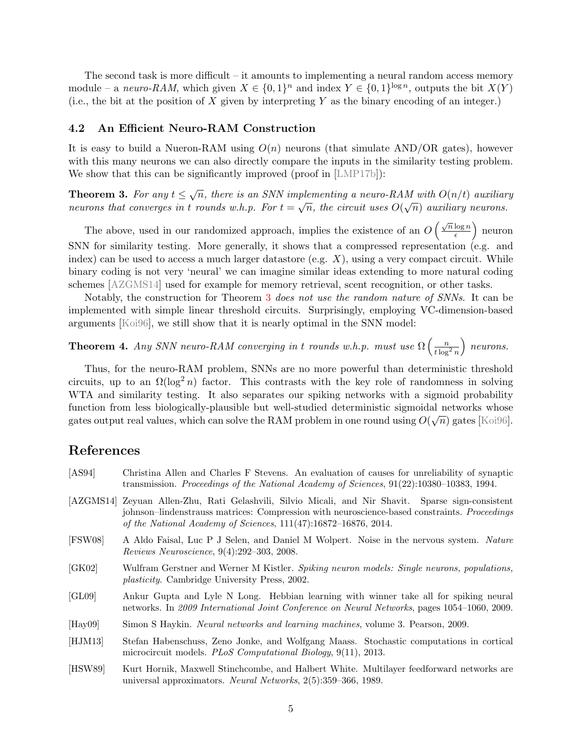The second task is more difficult – it amounts to implementing a neural random access memory module – a neuro-RAM, which given  $X \in \{0,1\}^n$  and index  $Y \in \{0,1\}^{\log n}$ , outputs the bit  $X(Y)$ (i.e., the bit at the position of X given by interpreting Y as the binary encoding of an integer.)

#### 4.2 An Efficient Neuro-RAM Construction

It is easy to build a Nueron-RAM using  $O(n)$  neurons (that simulate AND/OR gates), however with this many neurons we can also directly compare the inputs in the similarity testing problem. We show that this can be significantly improved (proof in [\[LMP17b\]](#page-6-1)):

<span id="page-5-8"></span>**Theorem 3.** For any  $t \leq \sqrt{n}$ , there is an SNN implementing a neuro-RAM with  $O(n/t)$  auxiliary neurons that converges in t rounds w.h.p. For  $t = \sqrt{n}$ , the circuit uses  $O(\sqrt{n})$  auxiliary neurons.

The above, used in our randomized approach, implies the existence of an  $O\left(\frac{\sqrt{n}\log n}{\epsilon}\right)$  $\frac{\log n}{\epsilon}$  neuron SNN for similarity testing. More generally, it shows that a compressed representation (e.g. and index) can be used to access a much larger datastore (e.g.  $X$ ), using a very compact circuit. While binary coding is not very 'neural' we can imagine similar ideas extending to more natural coding schemes [\[AZGMS14\]](#page-5-7) used for example for memory retrieval, scent recognition, or other tasks.

Notably, the construction for Theorem [3](#page-5-8) does not use the random nature of SNNs. It can be implemented with simple linear threshold circuits. Surprisingly, employing VC-dimension-based arguments [\[Koi96\]](#page-6-23), we still show that it is nearly optimal in the SNN model:

**Theorem 4.** Any SNN neuro-RAM converging in t rounds w.h.p. must use  $\Omega\left(\frac{n}{t\log^2 n}\right)$ neurons.

Thus, for the neuro-RAM problem, SNNs are no more powerful than deterministic threshold circuits, up to an  $\Omega(\log^2 n)$  factor. This contrasts with the key role of randomness in solving WTA and similarity testing. It also separates our spiking networks with a sigmoid probability function from less biologically-plausible but well-studied deterministic sigmoidal networks whose gates output real values, which can solve the RAM problem in one round using  $O(\sqrt{n})$  gates [\[Koi96\]](#page-6-23).

## References

- <span id="page-5-7"></span><span id="page-5-4"></span>[AS94] Christina Allen and Charles F Stevens. An evaluation of causes for unreliability of synaptic transmission. Proceedings of the National Academy of Sciences, 91(22):10380–10383, 1994. [AZGMS14] Zeyuan Allen-Zhu, Rati Gelashvili, Silvio Micali, and Nir Shavit. Sparse sign-consistent johnson–lindenstrauss matrices: Compression with neuroscience-based constraints. Proceedings of the National Academy of Sciences, 111(47):16872–16876, 2014.
- <span id="page-5-5"></span>[FSW08] A Aldo Faisal, Luc P J Selen, and Daniel M Wolpert. Noise in the nervous system. Nature Reviews Neuroscience, 9(4):292–303, 2008.
- <span id="page-5-2"></span>[GK02] Wulfram Gerstner and Werner M Kistler. Spiking neuron models: Single neurons, populations, plasticity. Cambridge University Press, 2002.
- <span id="page-5-6"></span>[GL09] Ankur Gupta and Lyle N Long. Hebbian learning with winner take all for spiking neural networks. In 2009 International Joint Conference on Neural Networks, pages 1054–1060, 2009.
- <span id="page-5-1"></span>[Hay09] Simon S Haykin. Neural networks and learning machines, volume 3. Pearson, 2009.
- <span id="page-5-3"></span>[HJM13] Stefan Habenschuss, Zeno Jonke, and Wolfgang Maass. Stochastic computations in cortical microcircuit models. PLoS Computational Biology, 9(11), 2013.
- <span id="page-5-0"></span>[HSW89] Kurt Hornik, Maxwell Stinchcombe, and Halbert White. Multilayer feedforward networks are universal approximators. Neural Networks, 2(5):359–366, 1989.